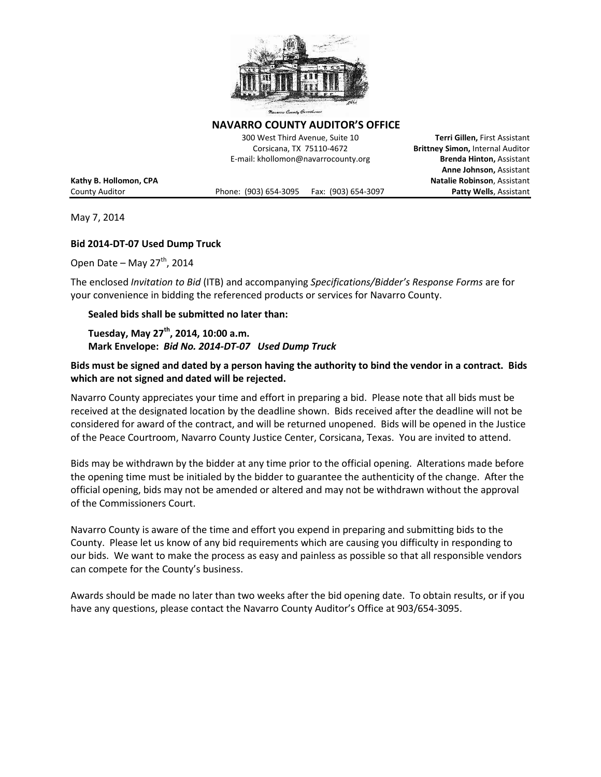

min Gourit

**NAVARRO COUNTY AUDITOR'S OFFICE** 

300 West Third Avenue, Suite 10 **Terri Gillen,** First Assistant Corsicana, TX 75110-4672 **Brittney Simon,** Internal Auditor E-mail: khollomon@navarrocounty.org **Brenda Hinton,** Assistant

County Auditor Phone: (903) 654-3095 Fax: (903) 654-3097 **Patty Wells**, Assistant

**Anne Johnson,** Assistant **Kathy B. Hollomon, CPA Natalie Robinson**, Assistant

May 7, 2014

#### **Bid 2014-DT-07 Used Dump Truck**

Open Date – May  $27<sup>th</sup>$ , 2014

The enclosed *Invitation to Bid* (ITB) and accompanying *Specifications/Bidder's Response Forms* are for your convenience in bidding the referenced products or services for Navarro County.

#### **Sealed bids shall be submitted no later than:**

**Tuesday, May 27th, 2014, 10:00 a.m. Mark Envelope:** *Bid No. 2014-DT-07 Used Dump Truck* 

### **Bids must be signed and dated by a person having the authority to bind the vendor in a contract. Bids which are not signed and dated will be rejected.**

Navarro County appreciates your time and effort in preparing a bid. Please note that all bids must be received at the designated location by the deadline shown. Bids received after the deadline will not be considered for award of the contract, and will be returned unopened. Bids will be opened in the Justice of the Peace Courtroom, Navarro County Justice Center, Corsicana, Texas. You are invited to attend.

Bids may be withdrawn by the bidder at any time prior to the official opening. Alterations made before the opening time must be initialed by the bidder to guarantee the authenticity of the change. After the official opening, bids may not be amended or altered and may not be withdrawn without the approval of the Commissioners Court.

Navarro County is aware of the time and effort you expend in preparing and submitting bids to the County. Please let us know of any bid requirements which are causing you difficulty in responding to our bids. We want to make the process as easy and painless as possible so that all responsible vendors can compete for the County's business.

Awards should be made no later than two weeks after the bid opening date. To obtain results, or if you have any questions, please contact the Navarro County Auditor's Office at 903/654-3095.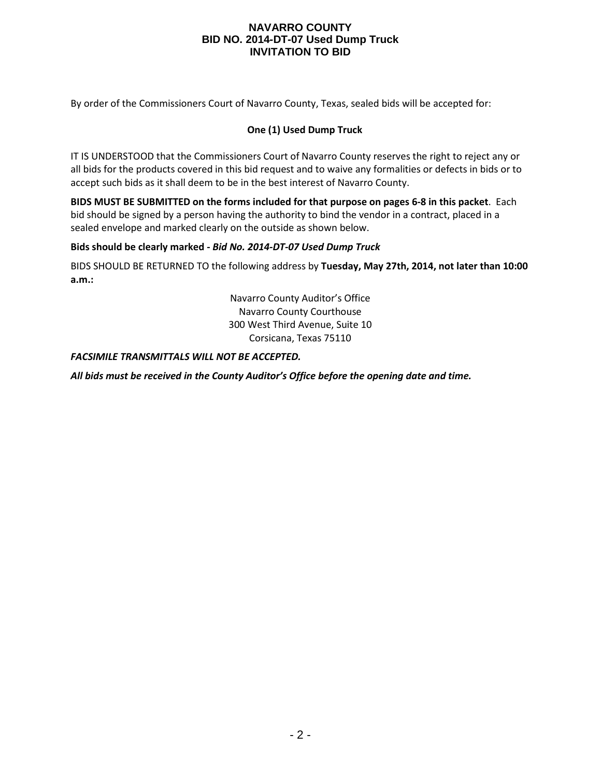By order of the Commissioners Court of Navarro County, Texas, sealed bids will be accepted for:

### **One (1) Used Dump Truck**

IT IS UNDERSTOOD that the Commissioners Court of Navarro County reserves the right to reject any or all bids for the products covered in this bid request and to waive any formalities or defects in bids or to accept such bids as it shall deem to be in the best interest of Navarro County.

**BIDS MUST BE SUBMITTED on the forms included for that purpose on pages 6-8 in this packet**. Each bid should be signed by a person having the authority to bind the vendor in a contract, placed in a sealed envelope and marked clearly on the outside as shown below.

#### **Bids should be clearly marked -** *Bid No. 2014-DT-07 Used Dump Truck*

BIDS SHOULD BE RETURNED TO the following address by **Tuesday, May 27th, 2014, not later than 10:00 a.m.:**

> Navarro County Auditor's Office Navarro County Courthouse 300 West Third Avenue, Suite 10 Corsicana, Texas 75110

#### *FACSIMILE TRANSMITTALS WILL NOT BE ACCEPTED.*

*All bids must be received in the County Auditor's Office before the opening date and time.*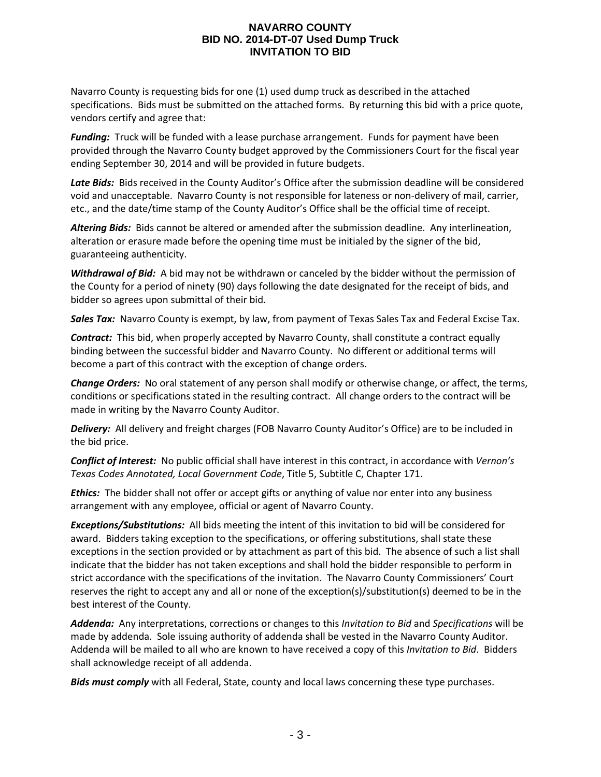Navarro County is requesting bids for one (1) used dump truck as described in the attached specifications. Bids must be submitted on the attached forms. By returning this bid with a price quote, vendors certify and agree that:

*Funding:* Truck will be funded with a lease purchase arrangement. Funds for payment have been provided through the Navarro County budget approved by the Commissioners Court for the fiscal year ending September 30, 2014 and will be provided in future budgets.

Late Bids: Bids received in the County Auditor's Office after the submission deadline will be considered void and unacceptable. Navarro County is not responsible for lateness or non-delivery of mail, carrier, etc., and the date/time stamp of the County Auditor's Office shall be the official time of receipt.

*Altering Bids:* Bids cannot be altered or amended after the submission deadline. Any interlineation, alteration or erasure made before the opening time must be initialed by the signer of the bid, guaranteeing authenticity.

*Withdrawal of Bid:* A bid may not be withdrawn or canceled by the bidder without the permission of the County for a period of ninety (90) days following the date designated for the receipt of bids, and bidder so agrees upon submittal of their bid.

*Sales Tax:* Navarro County is exempt, by law, from payment of Texas Sales Tax and Federal Excise Tax.

*Contract:* This bid, when properly accepted by Navarro County, shall constitute a contract equally binding between the successful bidder and Navarro County. No different or additional terms will become a part of this contract with the exception of change orders.

*Change Orders:* No oral statement of any person shall modify or otherwise change, or affect, the terms, conditions or specifications stated in the resulting contract. All change orders to the contract will be made in writing by the Navarro County Auditor.

*Delivery:* All delivery and freight charges (FOB Navarro County Auditor's Office) are to be included in the bid price.

*Conflict of Interest:* No public official shall have interest in this contract, in accordance with *Vernon's Texas Codes Annotated, Local Government Code*, Title 5, Subtitle C, Chapter 171.

*Ethics:* The bidder shall not offer or accept gifts or anything of value nor enter into any business arrangement with any employee, official or agent of Navarro County.

*Exceptions/Substitutions:* All bids meeting the intent of this invitation to bid will be considered for award. Bidders taking exception to the specifications, or offering substitutions, shall state these exceptions in the section provided or by attachment as part of this bid. The absence of such a list shall indicate that the bidder has not taken exceptions and shall hold the bidder responsible to perform in strict accordance with the specifications of the invitation. The Navarro County Commissioners' Court reserves the right to accept any and all or none of the exception(s)/substitution(s) deemed to be in the best interest of the County.

*Addenda:* Any interpretations, corrections or changes to this *Invitation to Bid* and *Specifications* will be made by addenda. Sole issuing authority of addenda shall be vested in the Navarro County Auditor. Addenda will be mailed to all who are known to have received a copy of this *Invitation to Bid*. Bidders shall acknowledge receipt of all addenda.

*Bids must comply* with all Federal, State, county and local laws concerning these type purchases.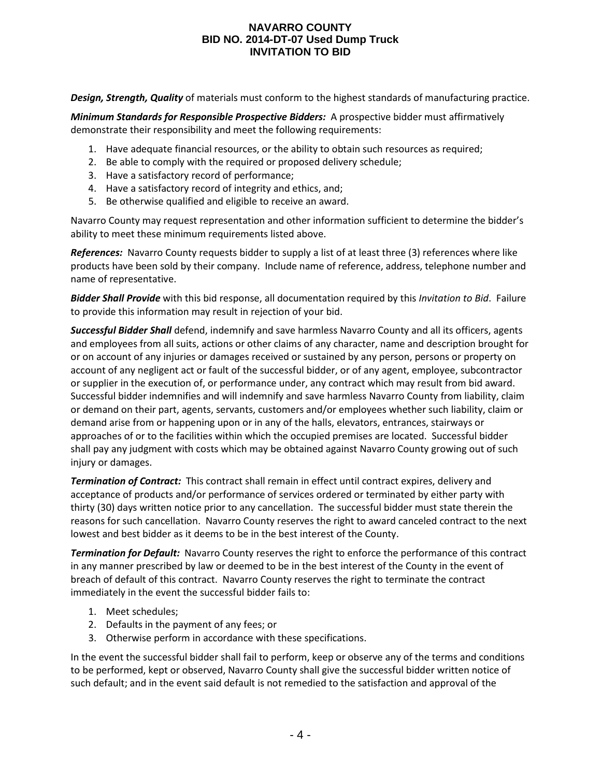*Design, Strength, Quality* of materials must conform to the highest standards of manufacturing practice.

*Minimum Standards for Responsible Prospective Bidders:* A prospective bidder must affirmatively demonstrate their responsibility and meet the following requirements:

- 1. Have adequate financial resources, or the ability to obtain such resources as required;
- 2. Be able to comply with the required or proposed delivery schedule;
- 3. Have a satisfactory record of performance;
- 4. Have a satisfactory record of integrity and ethics, and;
- 5. Be otherwise qualified and eligible to receive an award.

Navarro County may request representation and other information sufficient to determine the bidder's ability to meet these minimum requirements listed above.

*References:* Navarro County requests bidder to supply a list of at least three (3) references where like products have been sold by their company. Include name of reference, address, telephone number and name of representative.

*Bidder Shall Provide* with this bid response, all documentation required by this *Invitation to Bid*. Failure to provide this information may result in rejection of your bid.

*Successful Bidder Shall* defend, indemnify and save harmless Navarro County and all its officers, agents and employees from all suits, actions or other claims of any character, name and description brought for or on account of any injuries or damages received or sustained by any person, persons or property on account of any negligent act or fault of the successful bidder, or of any agent, employee, subcontractor or supplier in the execution of, or performance under, any contract which may result from bid award. Successful bidder indemnifies and will indemnify and save harmless Navarro County from liability, claim or demand on their part, agents, servants, customers and/or employees whether such liability, claim or demand arise from or happening upon or in any of the halls, elevators, entrances, stairways or approaches of or to the facilities within which the occupied premises are located. Successful bidder shall pay any judgment with costs which may be obtained against Navarro County growing out of such injury or damages.

*Termination of Contract:* This contract shall remain in effect until contract expires, delivery and acceptance of products and/or performance of services ordered or terminated by either party with thirty (30) days written notice prior to any cancellation. The successful bidder must state therein the reasons for such cancellation. Navarro County reserves the right to award canceled contract to the next lowest and best bidder as it deems to be in the best interest of the County.

*Termination for Default:* Navarro County reserves the right to enforce the performance of this contract in any manner prescribed by law or deemed to be in the best interest of the County in the event of breach of default of this contract. Navarro County reserves the right to terminate the contract immediately in the event the successful bidder fails to:

- 1. Meet schedules;
- 2. Defaults in the payment of any fees; or
- 3. Otherwise perform in accordance with these specifications.

In the event the successful bidder shall fail to perform, keep or observe any of the terms and conditions to be performed, kept or observed, Navarro County shall give the successful bidder written notice of such default; and in the event said default is not remedied to the satisfaction and approval of the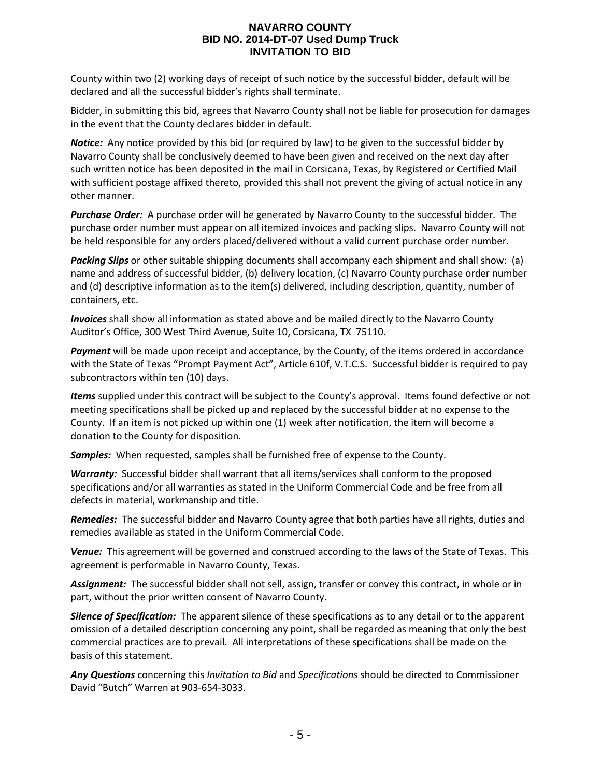County within two (2) working days of receipt of such notice by the successful bidder, default will be declared and all the successful bidder's rights shall terminate.

Bidder, in submitting this bid, agrees that Navarro County shall not be liable for prosecution for damages in the event that the County declares bidder in default.

*Notice:* Any notice provided by this bid (or required by law) to be given to the successful bidder by Navarro County shall be conclusively deemed to have been given and received on the next day after such written notice has been deposited in the mail in Corsicana, Texas, by Registered or Certified Mail with sufficient postage affixed thereto, provided this shall not prevent the giving of actual notice in any other manner.

*Purchase Order:* A purchase order will be generated by Navarro County to the successful bidder. The purchase order number must appear on all itemized invoices and packing slips. Navarro County will not be held responsible for any orders placed/delivered without a valid current purchase order number.

*Packing Slips* or other suitable shipping documents shall accompany each shipment and shall show: (a) name and address of successful bidder, (b) delivery location, (c) Navarro County purchase order number and (d) descriptive information as to the item(s) delivered, including description, quantity, number of containers, etc.

*Invoices* shall show all information as stated above and be mailed directly to the Navarro County Auditor's Office, 300 West Third Avenue, Suite 10, Corsicana, TX 75110.

*Payment* will be made upon receipt and acceptance, by the County, of the items ordered in accordance with the State of Texas "Prompt Payment Act", Article 610f, V.T.C.S. Successful bidder is required to pay subcontractors within ten (10) days.

*Items* supplied under this contract will be subject to the County's approval. Items found defective or not meeting specifications shall be picked up and replaced by the successful bidder at no expense to the County. If an item is not picked up within one (1) week after notification, the item will become a donation to the County for disposition.

*Samples:* When requested, samples shall be furnished free of expense to the County.

*Warranty:* Successful bidder shall warrant that all items/services shall conform to the proposed specifications and/or all warranties as stated in the Uniform Commercial Code and be free from all defects in material, workmanship and title.

*Remedies:* The successful bidder and Navarro County agree that both parties have all rights, duties and remedies available as stated in the Uniform Commercial Code.

*Venue:* This agreement will be governed and construed according to the laws of the State of Texas. This agreement is performable in Navarro County, Texas.

*Assignment:* The successful bidder shall not sell, assign, transfer or convey this contract, in whole or in part, without the prior written consent of Navarro County.

*Silence of Specification:* The apparent silence of these specifications as to any detail or to the apparent omission of a detailed description concerning any point, shall be regarded as meaning that only the best commercial practices are to prevail. All interpretations of these specifications shall be made on the basis of this statement.

*Any Questions* concerning this *Invitation to Bid* and *Specifications* should be directed to Commissioner David "Butch" Warren at 903-654-3033.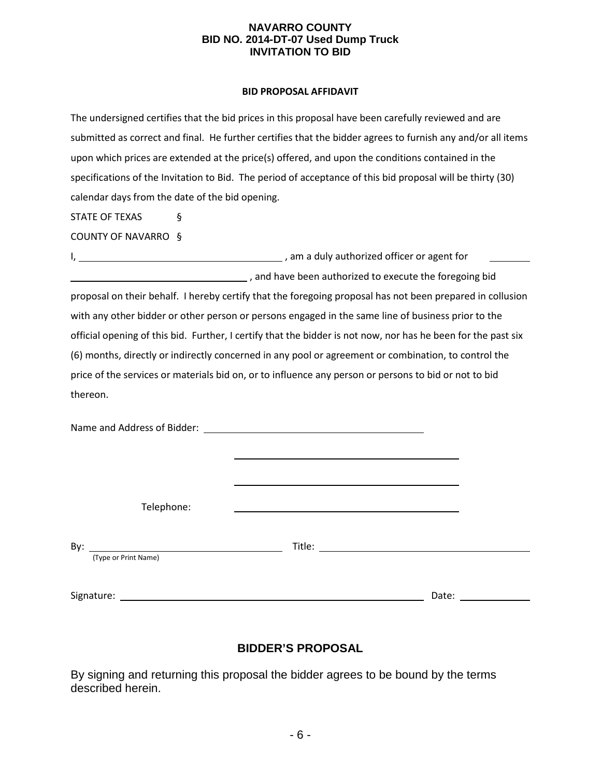#### **BID PROPOSAL AFFIDAVIT**

|                                                 | The undersigned certifies that the bid prices in this proposal have been carefully reviewed and are                                                                                                                                 |
|-------------------------------------------------|-------------------------------------------------------------------------------------------------------------------------------------------------------------------------------------------------------------------------------------|
|                                                 | submitted as correct and final. He further certifies that the bidder agrees to furnish any and/or all items                                                                                                                         |
|                                                 | upon which prices are extended at the price(s) offered, and upon the conditions contained in the                                                                                                                                    |
|                                                 | specifications of the Invitation to Bid. The period of acceptance of this bid proposal will be thirty (30)                                                                                                                          |
| calendar days from the date of the bid opening. |                                                                                                                                                                                                                                     |
| STATE OF TEXAS<br>ş                             |                                                                                                                                                                                                                                     |
| COUNTY OF NAVARRO §                             |                                                                                                                                                                                                                                     |
|                                                 |                                                                                                                                                                                                                                     |
|                                                 | and have been authorized to execute the foregoing bid                                                                                                                                                                               |
|                                                 | proposal on their behalf. I hereby certify that the foregoing proposal has not been prepared in collusion                                                                                                                           |
|                                                 | with any other bidder or other person or persons engaged in the same line of business prior to the                                                                                                                                  |
|                                                 | official opening of this bid. Further, I certify that the bidder is not now, nor has he been for the past six                                                                                                                       |
|                                                 | (6) months, directly or indirectly concerned in any pool or agreement or combination, to control the                                                                                                                                |
|                                                 | price of the services or materials bid on, or to influence any person or persons to bid or not to bid                                                                                                                               |
| thereon.                                        |                                                                                                                                                                                                                                     |
|                                                 |                                                                                                                                                                                                                                     |
|                                                 |                                                                                                                                                                                                                                     |
|                                                 |                                                                                                                                                                                                                                     |
|                                                 |                                                                                                                                                                                                                                     |
|                                                 |                                                                                                                                                                                                                                     |
| Telephone:                                      |                                                                                                                                                                                                                                     |
|                                                 |                                                                                                                                                                                                                                     |
| By:                                             | <b>Title:</b> The contract of the contract of the contract of the contract of the contract of the contract of the contract of the contract of the contract of the contract of the contract of the contract of the contract of the c |
| (Type or Print Name)                            |                                                                                                                                                                                                                                     |
|                                                 | Date: the contract of the contract of the contract of the contract of the contract of the contract of the contract of the contract of the contract of the contract of the contract of the contract of the contract of the cont      |
|                                                 |                                                                                                                                                                                                                                     |

# **BIDDER'S PROPOSAL**

By signing and returning this proposal the bidder agrees to be bound by the terms described herein.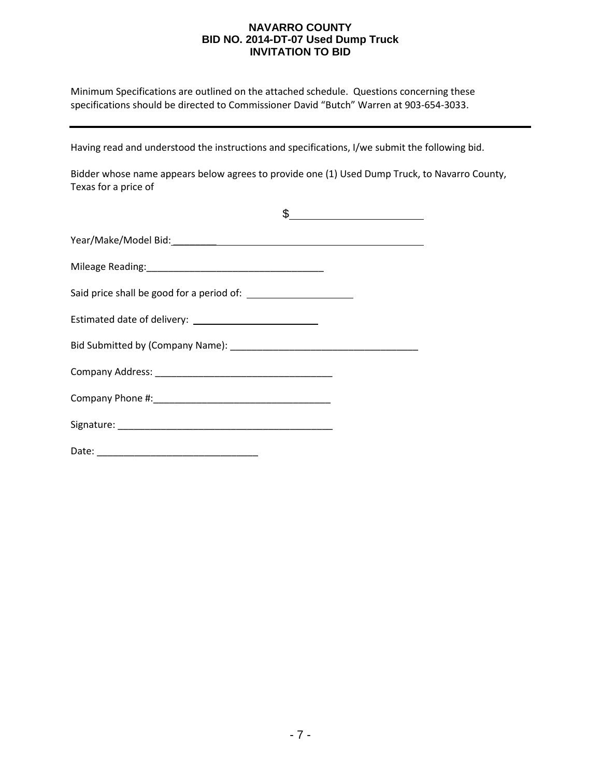Minimum Specifications are outlined on the attached schedule. Questions concerning these specifications should be directed to Commissioner David "Butch" Warren at 903-654-3033.

Having read and understood the instructions and specifications, I/we submit the following bid.

Bidder whose name appears below agrees to provide one (1) Used Dump Truck, to Navarro County, Texas for a price of

|                                                                     | $\frac{1}{2}$ $\frac{1}{2}$ $\frac{1}{2}$ $\frac{1}{2}$ $\frac{1}{2}$ $\frac{1}{2}$ $\frac{1}{2}$ $\frac{1}{2}$ $\frac{1}{2}$ $\frac{1}{2}$ $\frac{1}{2}$ $\frac{1}{2}$ $\frac{1}{2}$ $\frac{1}{2}$ $\frac{1}{2}$ $\frac{1}{2}$ $\frac{1}{2}$ $\frac{1}{2}$ $\frac{1}{2}$ $\frac{1}{2}$ $\frac{1}{2}$ $\frac{1}{2}$ |
|---------------------------------------------------------------------|---------------------------------------------------------------------------------------------------------------------------------------------------------------------------------------------------------------------------------------------------------------------------------------------------------------------|
|                                                                     |                                                                                                                                                                                                                                                                                                                     |
|                                                                     |                                                                                                                                                                                                                                                                                                                     |
| Said price shall be good for a period of: <u>contained a set of</u> |                                                                                                                                                                                                                                                                                                                     |
|                                                                     |                                                                                                                                                                                                                                                                                                                     |
|                                                                     |                                                                                                                                                                                                                                                                                                                     |
|                                                                     |                                                                                                                                                                                                                                                                                                                     |
|                                                                     |                                                                                                                                                                                                                                                                                                                     |
|                                                                     |                                                                                                                                                                                                                                                                                                                     |
| Date:<br><u> 1999 - Johann John</u>                                 |                                                                                                                                                                                                                                                                                                                     |